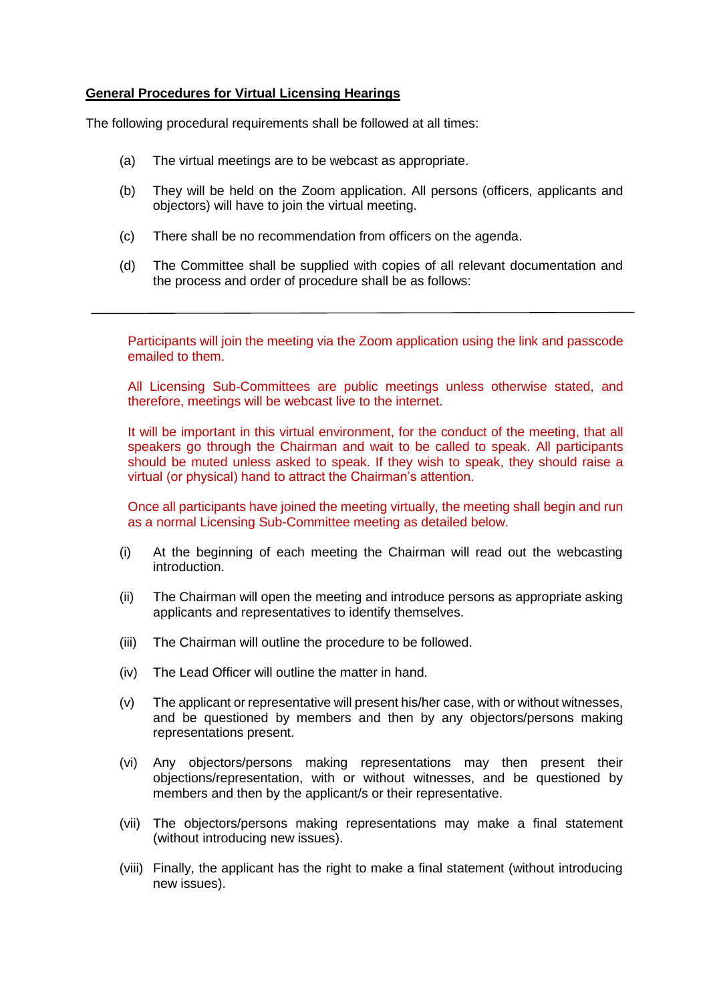## **General Procedures for Virtual Licensing Hearings**

The following procedural requirements shall be followed at all times:

- (a) The virtual meetings are to be webcast as appropriate.
- (b) They will be held on the Zoom application. All persons (officers, applicants and objectors) will have to join the virtual meeting.
- (c) There shall be no recommendation from officers on the agenda.
- (d) The Committee shall be supplied with copies of all relevant documentation and the process and order of procedure shall be as follows:

Participants will join the meeting via the Zoom application using the link and passcode emailed to them.

All Licensing Sub-Committees are public meetings unless otherwise stated, and therefore, meetings will be webcast live to the internet.

It will be important in this virtual environment, for the conduct of the meeting, that all speakers go through the Chairman and wait to be called to speak. All participants should be muted unless asked to speak. If they wish to speak, they should raise a virtual (or physical) hand to attract the Chairman's attention.

Once all participants have joined the meeting virtually, the meeting shall begin and run as a normal Licensing Sub-Committee meeting as detailed below.

- (i) At the beginning of each meeting the Chairman will read out the webcasting introduction.
- (ii) The Chairman will open the meeting and introduce persons as appropriate asking applicants and representatives to identify themselves.
- (iii) The Chairman will outline the procedure to be followed.
- (iv) The Lead Officer will outline the matter in hand.
- (v) The applicant or representative will present his/her case, with or without witnesses, and be questioned by members and then by any objectors/persons making representations present.
- (vi) Any objectors/persons making representations may then present their objections/representation, with or without witnesses, and be questioned by members and then by the applicant/s or their representative.
- (vii) The objectors/persons making representations may make a final statement (without introducing new issues).
- (viii) Finally, the applicant has the right to make a final statement (without introducing new issues).